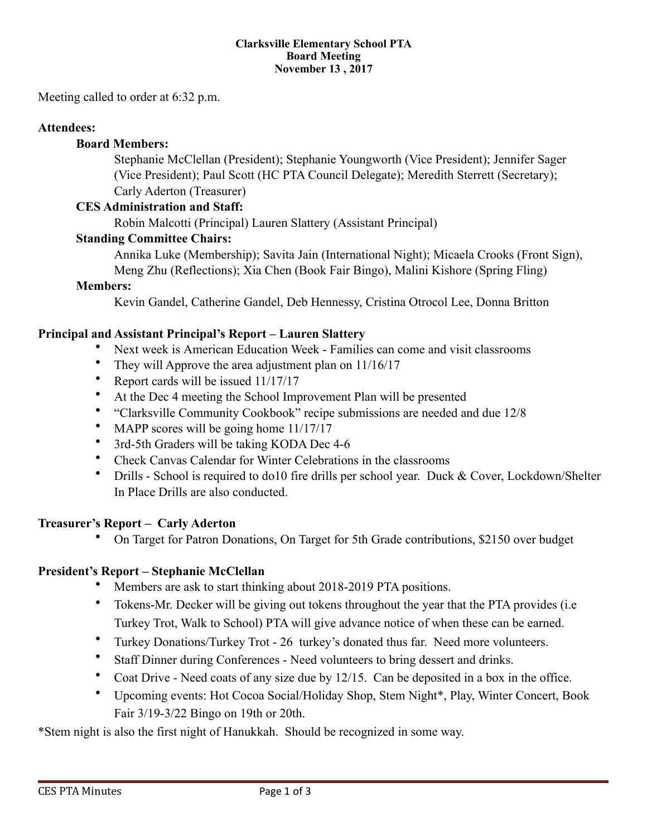#### **Clarksville Elementary School PTA Board Meeting November 13 , 2017**

Meeting called to order at 6:32 p.m.

#### **Attendees:**

#### **Board Members:**

 Stephanie McClellan (President); Stephanie Youngworth (Vice President); Jennifer Sager (Vice President); Paul Scott (HC PTA Council Delegate); Meredith Sterrett (Secretary); Carly Aderton (Treasurer)

#### **CES Administration and Staff:**

Robin Malcotti (Principal) Lauren Slattery (Assistant Principal)

#### **Standing Committee Chairs:**

 Annika Luke (Membership); Savita Jain (International Night); Micaela Crooks (Front Sign), Meng Zhu (Reflections); Xia Chen (Book Fair Bingo), Malini Kishore (Spring Fling)

#### **Members:**

Kevin Gandel, Catherine Gandel, Deb Hennessy, Cristina Otrocol Lee, Donna Britton

#### **Principal and Assistant Principal's Report – Lauren Slattery**

- Next week is American Education Week Families can come and visit classrooms
- They will Approve the area adjustment plan on  $11/16/17$
- Report cards will be issued 11/17/17
- At the Dec 4 meeting the School Improvement Plan will be presented
- "Clarksville Community Cookbook" recipe submissions are needed and due 12/8
- MAPP scores will be going home  $11/17/17$
- 3rd-5th Graders will be taking KODA Dec 4-6
- Check Canvas Calendar for Winter Celebrations in the classrooms
- Drills School is required to do10 fire drills per school year. Duck & Cover, Lockdown/Shelter In Place Drills are also conducted.

#### **Treasurer's Report – Carly Aderton**

• On Target for Patron Donations, On Target for 5th Grade contributions, \$2150 over budget

## **President's Report – Stephanie McClellan**

- Members are ask to start thinking about 2018-2019 PTA positions.
- Tokens-Mr. Decker will be giving out tokens throughout the year that the PTA provides (i.e Turkey Trot, Walk to School) PTA will give advance notice of when these can be earned.
- Turkey Donations/Turkey Trot 26 turkey's donated thus far. Need more volunteers.
- Staff Dinner during Conferences Need volunteers to bring dessert and drinks.
- Coat Drive Need coats of any size due by 12/15. Can be deposited in a box in the office.
- Upcoming events: Hot Cocoa Social/Holiday Shop, Stem Night\*, Play, Winter Concert, Book Fair 3/19-3/22 Bingo on 19th or 20th.

\*Stem night is also the first night of Hanukkah. Should be recognized in some way.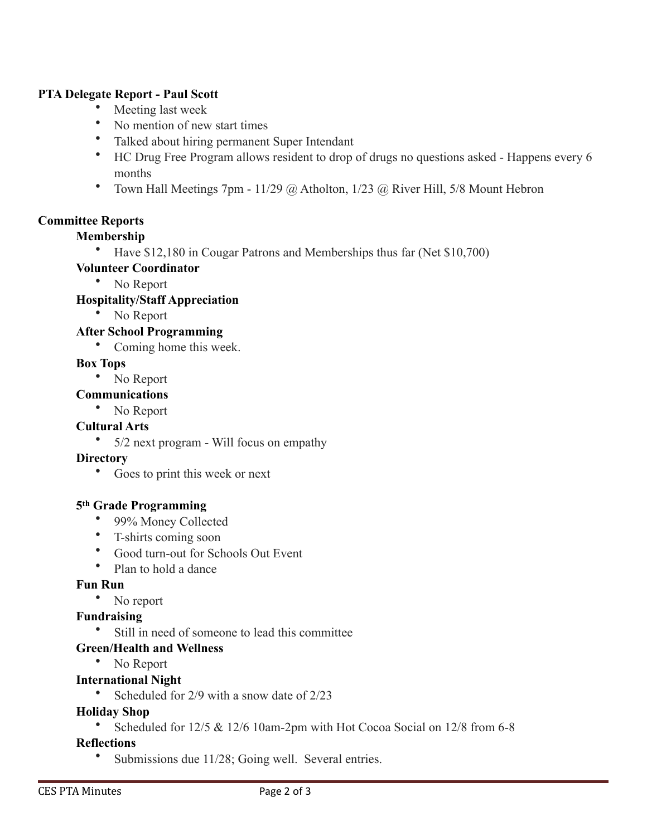## **PTA Delegate Report - Paul Scott**

- Meeting last week
- No mention of new start times
- Talked about hiring permanent Super Intendant
- HC Drug Free Program allows resident to drop of drugs no questions asked Happens every 6 months
- Town Hall Meetings 7pm 11/29  $\omega$  Atholton, 1/23  $\omega$  River Hill, 5/8 Mount Hebron

## **Committee Reports**

## **Membership**

• Have \$12,180 in Cougar Patrons and Memberships thus far (Net \$10,700)

## **Volunteer Coordinator**

• No Report

## **Hospitality/Staff Appreciation**

• No Report

## **After School Programming**

• Coming home this week.

## **Box Tops**

• No Report

## **Communications**

• No Report

## **Cultural Arts**

• 5/2 next program - Will focus on empathy

## **Directory**

• Goes to print this week or next

## **5th Grade Programming**

- 99% Money Collected
- T-shirts coming soon
- Good turn-out for Schools Out Event
- Plan to hold a dance

## **Fun Run**

• No report

# **Fundraising**

• Still in need of someone to lead this committee

## **Green/Health and Wellness**

• No Report

## **International Night**

• Scheduled for 2/9 with a snow date of 2/23

## **Holiday Shop**

• Scheduled for 12/5 & 12/6 10am-2pm with Hot Cocoa Social on 12/8 from 6-8

## **Reflections**

Submissions due 11/28; Going well. Several entries.